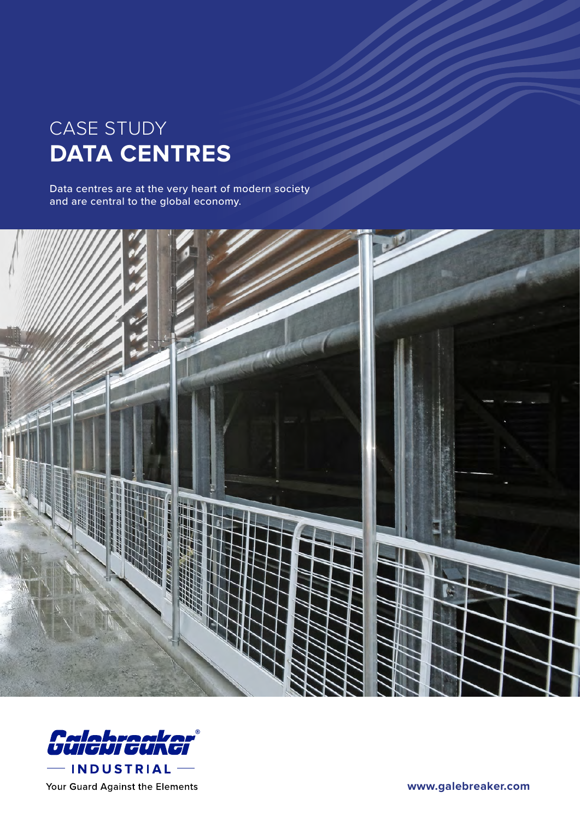## CASE STUDY **DATA CENTRES**

Data centres are at the very heart of modern society and are central to the global economy.





**[www.galebreaker.com](https://galebreaker.com/industrial)**

Your Guard Against the Elements